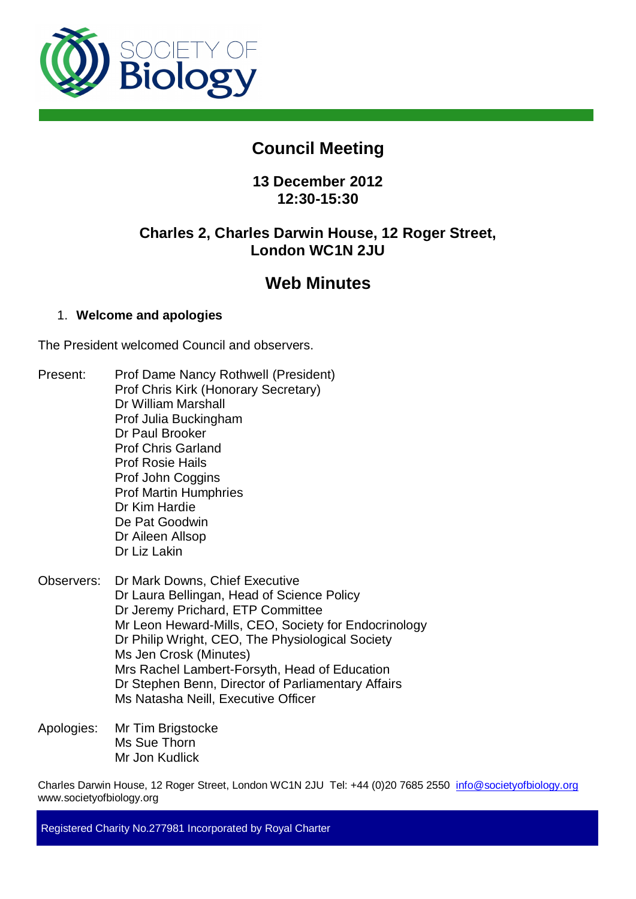

# **Council Meeting**

## **13 December 2012 12:30-15:30**

## **Charles 2, Charles Darwin House, 12 Roger Street, London WC1N 2JU**

# **Web Minutes**

## 1. **Welcome and apologies**

The President welcomed Council and observers.

- Present: Prof Dame Nancy Rothwell (President) Prof Chris Kirk (Honorary Secretary) Dr William Marshall Prof Julia Buckingham Dr Paul Brooker Prof Chris Garland Prof Rosie Hails Prof John Coggins Prof Martin Humphries Dr Kim Hardie De Pat Goodwin Dr Aileen Allsop Dr Liz Lakin
- Observers: Dr Mark Downs, Chief Executive Dr Laura Bellingan, Head of Science Policy Dr Jeremy Prichard, ETP Committee Mr Leon Heward-Mills, CEO, Society for Endocrinology Dr Philip Wright, CEO, The Physiological Society Ms Jen Crosk (Minutes) Mrs Rachel Lambert-Forsyth, Head of Education Dr Stephen Benn, Director of Parliamentary Affairs Ms Natasha Neill, Executive Officer
- Apologies: Mr Tim Brigstocke Ms Sue Thorn Mr Jon Kudlick

Charles Darwin House, 12 Roger Street, London WC1N 2JU Tel: +44 (0)20 7685 2550 info@societyofbiology.org www.societyofbiology.org

Registered Charity No.277981 Incorporated by Royal Charter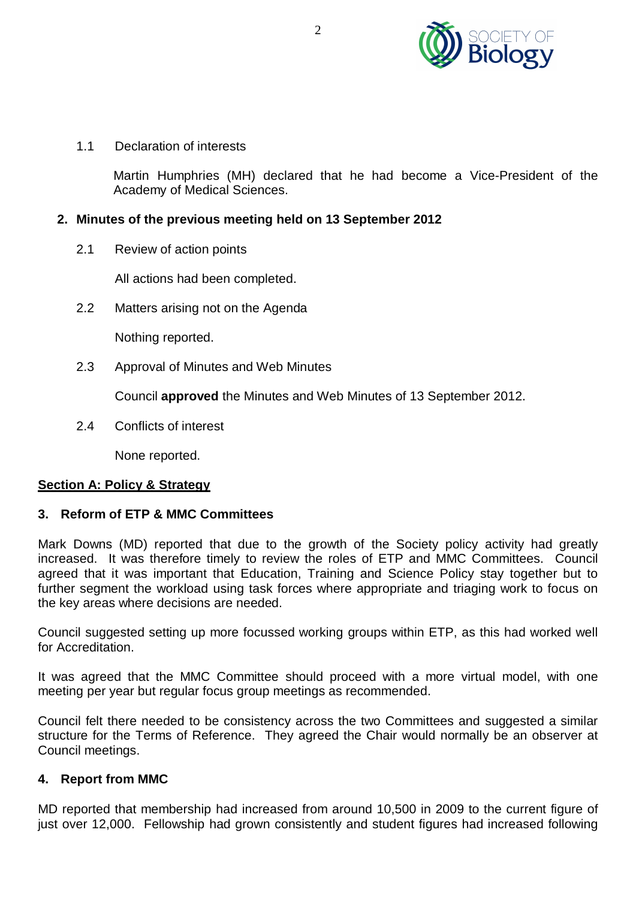

1.1 Declaration of interests

Martin Humphries (MH) declared that he had become a Vice-President of the Academy of Medical Sciences.

## **2. Minutes of the previous meeting held on 13 September 2012**

2.1 Review of action points

All actions had been completed.

2.2 Matters arising not on the Agenda

Nothing reported.

2.3 Approval of Minutes and Web Minutes

Council **approved** the Minutes and Web Minutes of 13 September 2012.

2.4 Conflicts of interest

None reported.

## **Section A: Policy & Strategy**

## **3. Reform of ETP & MMC Committees**

Mark Downs (MD) reported that due to the growth of the Society policy activity had greatly increased. It was therefore timely to review the roles of ETP and MMC Committees. Council agreed that it was important that Education, Training and Science Policy stay together but to further segment the workload using task forces where appropriate and triaging work to focus on the key areas where decisions are needed.

Council suggested setting up more focussed working groups within ETP, as this had worked well for Accreditation.

It was agreed that the MMC Committee should proceed with a more virtual model, with one meeting per year but regular focus group meetings as recommended.

Council felt there needed to be consistency across the two Committees and suggested a similar structure for the Terms of Reference. They agreed the Chair would normally be an observer at Council meetings.

## **4. Report from MMC**

MD reported that membership had increased from around 10,500 in 2009 to the current figure of just over 12,000. Fellowship had grown consistently and student figures had increased following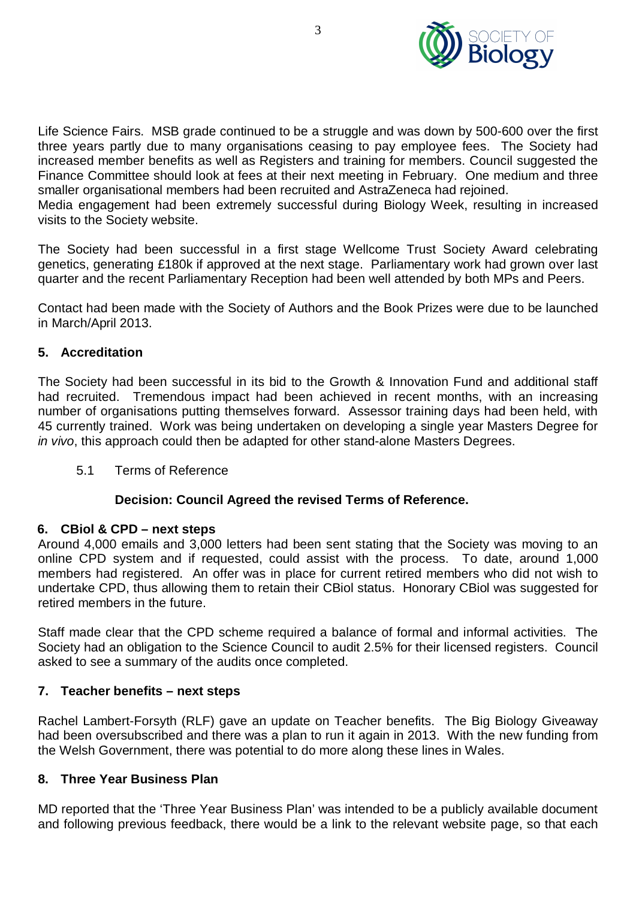

Life Science Fairs. MSB grade continued to be a struggle and was down by 500-600 over the first three years partly due to many organisations ceasing to pay employee fees. The Society had increased member benefits as well as Registers and training for members. Council suggested the Finance Committee should look at fees at their next meeting in February. One medium and three smaller organisational members had been recruited and AstraZeneca had rejoined.

Media engagement had been extremely successful during Biology Week, resulting in increased visits to the Society website.

The Society had been successful in a first stage Wellcome Trust Society Award celebrating genetics, generating £180k if approved at the next stage. Parliamentary work had grown over last quarter and the recent Parliamentary Reception had been well attended by both MPs and Peers.

Contact had been made with the Society of Authors and the Book Prizes were due to be launched in March/April 2013.

## **5. Accreditation**

The Society had been successful in its bid to the Growth & Innovation Fund and additional staff had recruited. Tremendous impact had been achieved in recent months, with an increasing number of organisations putting themselves forward. Assessor training days had been held, with 45 currently trained. Work was being undertaken on developing a single year Masters Degree for *in vivo*, this approach could then be adapted for other stand-alone Masters Degrees.

5.1 Terms of Reference

## **Decision: Council Agreed the revised Terms of Reference.**

## **6. CBiol & CPD – next steps**

Around 4,000 emails and 3,000 letters had been sent stating that the Society was moving to an online CPD system and if requested, could assist with the process. To date, around 1,000 members had registered. An offer was in place for current retired members who did not wish to undertake CPD, thus allowing them to retain their CBiol status. Honorary CBiol was suggested for retired members in the future.

Staff made clear that the CPD scheme required a balance of formal and informal activities. The Society had an obligation to the Science Council to audit 2.5% for their licensed registers. Council asked to see a summary of the audits once completed.

## **7. Teacher benefits – next steps**

Rachel Lambert-Forsyth (RLF) gave an update on Teacher benefits. The Big Biology Giveaway had been oversubscribed and there was a plan to run it again in 2013. With the new funding from the Welsh Government, there was potential to do more along these lines in Wales.

## **8. Three Year Business Plan**

MD reported that the 'Three Year Business Plan' was intended to be a publicly available document and following previous feedback, there would be a link to the relevant website page, so that each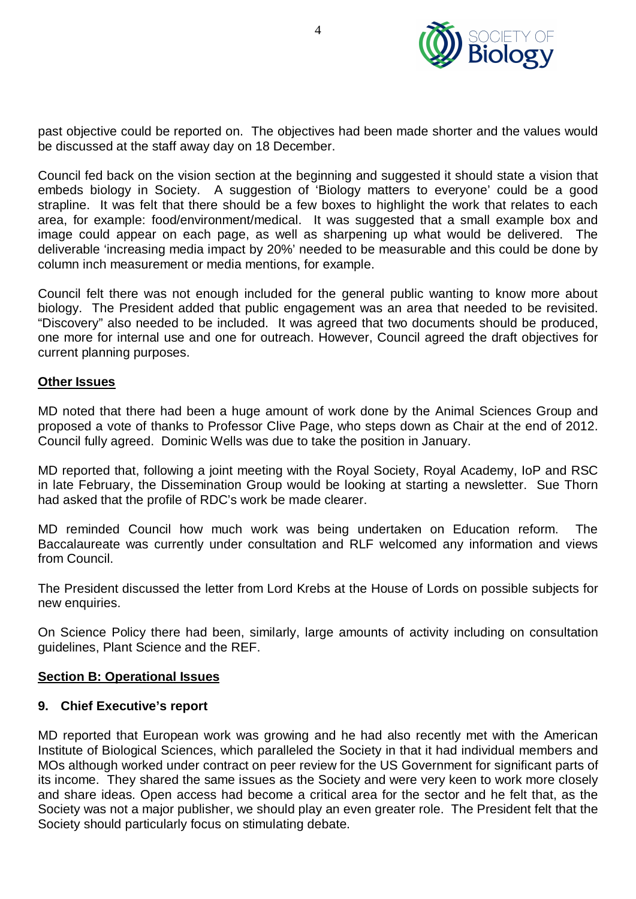

past objective could be reported on. The objectives had been made shorter and the values would be discussed at the staff away day on 18 December.

Council fed back on the vision section at the beginning and suggested it should state a vision that embeds biology in Society. A suggestion of 'Biology matters to everyone' could be a good strapline. It was felt that there should be a few boxes to highlight the work that relates to each area, for example: food/environment/medical. It was suggested that a small example box and image could appear on each page, as well as sharpening up what would be delivered. The deliverable 'increasing media impact by 20%' needed to be measurable and this could be done by column inch measurement or media mentions, for example.

Council felt there was not enough included for the general public wanting to know more about biology. The President added that public engagement was an area that needed to be revisited. "Discovery" also needed to be included. It was agreed that two documents should be produced, one more for internal use and one for outreach. However, Council agreed the draft objectives for current planning purposes.

#### **Other Issues**

MD noted that there had been a huge amount of work done by the Animal Sciences Group and proposed a vote of thanks to Professor Clive Page, who steps down as Chair at the end of 2012. Council fully agreed. Dominic Wells was due to take the position in January.

MD reported that, following a joint meeting with the Royal Society, Royal Academy, IoP and RSC in late February, the Dissemination Group would be looking at starting a newsletter. Sue Thorn had asked that the profile of RDC's work be made clearer.

MD reminded Council how much work was being undertaken on Education reform. The Baccalaureate was currently under consultation and RLF welcomed any information and views from Council.

The President discussed the letter from Lord Krebs at the House of Lords on possible subjects for new enquiries.

On Science Policy there had been, similarly, large amounts of activity including on consultation guidelines, Plant Science and the REF.

## **Section B: Operational Issues**

## **9. Chief Executive's report**

MD reported that European work was growing and he had also recently met with the American Institute of Biological Sciences, which paralleled the Society in that it had individual members and MOs although worked under contract on peer review for the US Government for significant parts of its income. They shared the same issues as the Society and were very keen to work more closely and share ideas. Open access had become a critical area for the sector and he felt that, as the Society was not a major publisher, we should play an even greater role. The President felt that the Society should particularly focus on stimulating debate.